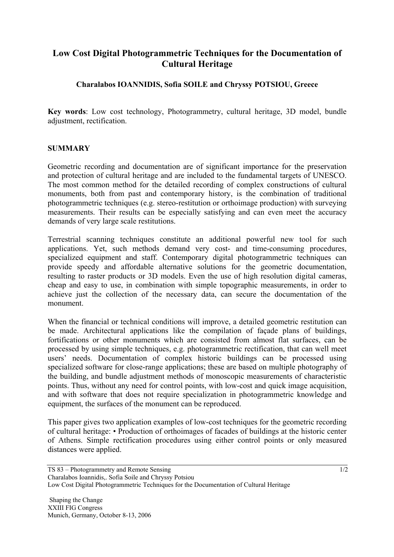## **Low Cost Digital Photogrammetric Techniques for the Documentation of Cultural Heritage**

## **Charalabos IOANNIDIS, Sofia SOILE and Chryssy POTSIOU, Greece**

**Key words**: Low cost technology, Photogrammetry, cultural heritage, 3D model, bundle adjustment, rectification.

## **SUMMARY**

Geometric recording and documentation are of significant importance for the preservation and protection of cultural heritage and are included to the fundamental targets of UNESCO. The most common method for the detailed recording of complex constructions of cultural monuments, both from past and contemporary history, is the combination of traditional photogrammetric techniques (e.g. stereo-restitution or orthoimage production) with surveying measurements. Their results can be especially satisfying and can even meet the accuracy demands of very large scale restitutions.

Terrestrial scanning techniques constitute an additional powerful new tool for such applications. Yet, such methods demand very cost- and time-consuming procedures, specialized equipment and staff. Contemporary digital photogrammetric techniques can provide speedy and affordable alternative solutions for the geometric documentation, resulting to raster products or 3D models. Even the use of high resolution digital cameras, cheap and easy to use, in combination with simple topographic measurements, in order to achieve just the collection of the necessary data, can secure the documentation of the monument.

When the financial or technical conditions will improve, a detailed geometric restitution can be made. Architectural applications like the compilation of façade plans of buildings, fortifications or other monuments which are consisted from almost flat surfaces, can be processed by using simple techniques, e.g. photogrammetric rectification, that can well meet users' needs. Documentation of complex historic buildings can be processed using specialized software for close-range applications; these are based on multiple photography of the building, and bundle adjustment methods of monoscopic measurements of characteristic points. Thus, without any need for control points, with low-cost and quick image acquisition, and with software that does not require specialization in photogrammetric knowledge and equipment, the surfaces of the monument can be reproduced.

This paper gives two application examples of low-cost techniques for the geometric recording of cultural heritage: • Production of orthoimages of facades of buildings at the historic center of Athens. Simple rectification procedures using either control points or only measured distances were applied.